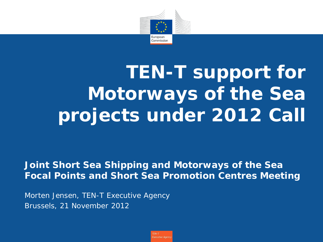

# **TEN-T support for Motorways of the Sea projects under 2012 Call**

*Joint Short Sea Shipping and Motorways of the Sea Focal Points and Short Sea Promotion Centres Meeting*

*Morten Jensen, TEN-T Executive Agency Brussels, 21 November 2012*

**Executive Agency**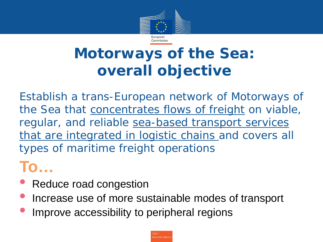

## **Motorways of the Sea: overall objective**

*Establish a trans-European network of Motorways of the Sea that concentrates flows of freight on viable, regular, and reliable sea-based transport services that are integrated in logistic chains and covers all types of maritime freight operations*

**To…**

- Reduce road congestion
- Increase use of more sustainable modes of transport
- Improve accessibility to peripheral regions

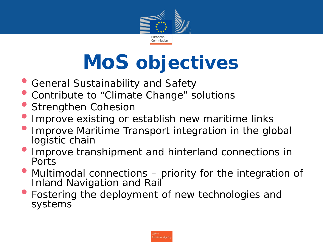

# **MoS objectives**

- General Sustainability and Safety
- Contribute to "Climate Change" solutions
- Strengthen Cohesion
- Improve existing or establish new maritime links
- **Improve Maritime Transport integration in the global** logistic chain
- Improve transhipment and hinterland connections in Ports
- Multimodal connections priority for the integration of Inland Navigation and Rail
- Fostering the deployment of new technologies and systems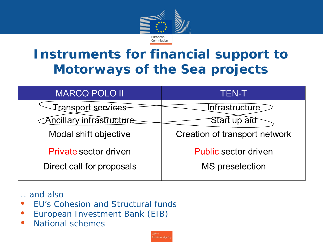

#### **Instruments for financial support to Motorways of the Sea projects**

| <b>MARCO POLO II</b>            | TEN-TI                        |
|---------------------------------|-------------------------------|
| Transport services              | Infrastructure                |
| <b>Ancillary infrastructure</b> | Start up aid                  |
| Modal shift objective           | Creation of transport network |
| Private sector driven           | <b>Public sector driven</b>   |
| Direct call for proposals       | <b>MS</b> preselection        |
|                                 |                               |

*.. and also*

- *EU's Cohesion and Structural funds*
- *European Investment Bank (EIB)*
- *National schemes*

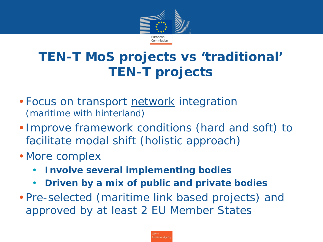

#### **TEN-T MoS projects vs 'traditional' TEN-T projects**

- *Focus on transport network integration (maritime with hinterland)*
- *Improve framework conditions (hard and soft) to facilitate modal shift (holistic approach)*
- *More complex*
	- **Involve several implementing bodies**
	- **Driven by a mix of public and private bodies**

• *Pre-selected (maritime link based projects) and approved by at least 2 EU Member States* 

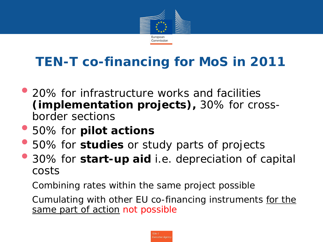

#### **TEN-T co-financing for MoS in 2011**

- 20% for infrastructure works and facilities **(implementation projects),** 30% for crossborder sections
- 50% for **pilot actions**
- 50% for **studies** or study parts of projects
- 30% for **start-up aid** i.e. depreciation of capital costs

Combining rates within the same project possible

Cumulating with other EU co-financing instruments for the same part of action not possible

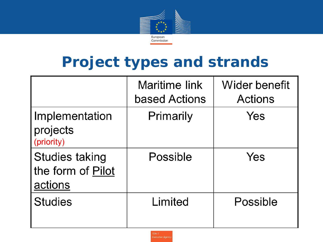

## **Project types and strands**

|                                                       | Maritime link<br>based Actions | <b>Wider benefit</b><br>Actions |
|-------------------------------------------------------|--------------------------------|---------------------------------|
| Implementation<br>projects<br>(priority)              | Primarily                      | Yes                             |
| <b>Studies taking</b><br>the form of Pilot<br>actions | Possible                       | Yes                             |
| <b>Studies</b>                                        | Limited                        | <b>Possible</b>                 |

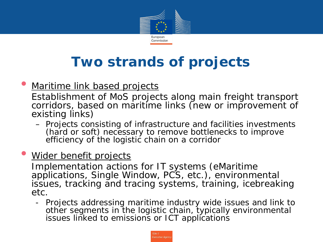

### **Two strands of projects**

Maritime link based projects

Establishment of MoS projects along main freight transport corridors, based on maritime links (new or improvement of existing links)

– Projects consisting of infrastructure and facilities investments (hard or soft) necessary to remove bottlenecks to improve efficiency of the logistic chain on a corridor

#### <u>Wider benefit projects</u>

Implementation actions for IT systems (eMaritime applications, Single Window, PCS, etc.), environmental issues, tracking and tracing systems, training, icebreaking etc.

- Projects addressing maritime industry wide issues and link to other segments in the logistic chain, typically environmental issues linked to emissions or ICT applications

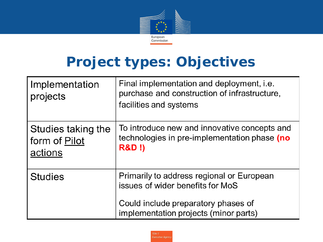

## **Project types: Objectives**

| Implementation<br>projects                     | Final implementation and deployment, i.e.<br>purchase and construction of infrastructure,<br>facilities and systems |
|------------------------------------------------|---------------------------------------------------------------------------------------------------------------------|
| Studies taking the<br>form of Pilot<br>actions | To introduce new and innovative concepts and<br>technologies in pre-implementation phase (no<br><b>R&amp;D!)</b>    |
| <b>Studies</b>                                 | Primarily to address regional or European<br>issues of wider benefits for MoS                                       |
|                                                | Could include preparatory phases of<br>implementation projects (minor parts)                                        |

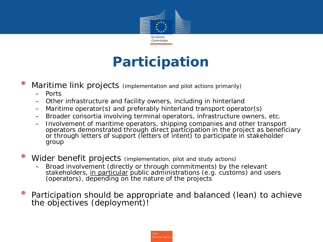

### **Participation**

- Maritime link projects (implementation and pilot actions primarily)
	- Ports
	- Other infrastructure and facility owners, including in hinterland
	- Maritime operator(s) and preferably hinterland transport operator(s)
	- Broader consortia involving terminal operators, infrastructure owners, etc.
	- Involvement of maritime operators, shipping companies and other transport operators demonstrated through direct participation in the project as beneficiary or through letters of support (letters of intent) to participate in stakeholder group
- Wider benefit projects (implementation, pilot and study actions)
	- Broad involvement (directly or through commitments) by the relevant stakeholders, <u>in particular</u> public administrations (e.g. customs) and users (operators), depending on the nature of the projects
- Participation should be appropriate and balanced (lean) to achieve the objectives (deployment)!

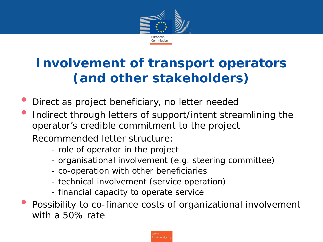

#### **Involvement of transport operators (and other stakeholders)**

- Direct as project beneficiary, no letter needed
- Indirect through letters of support/intent streamlining the operator's credible commitment to the project Recommended letter structure:
	- role of operator in the project
	- organisational involvement (e.g. steering committee)
	- co-operation with other beneficiaries
	- technical involvement (service operation)
	- financial capacity to operate service
- Possibility to co-finance costs of organizational involvement with a 50% rate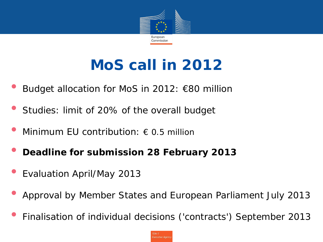

## **MoS call in 2012**

- Budget allocation for MoS in 2012:  $€80$  million
- Studies: limit of 20% of the overall budget
- Minimum EU contribution:  $\epsilon$  0.5 million
- **Deadline for submission 28 February 2013**
- Evaluation April/May 2013
- Approval by Member States and European Parliament July 2013
- Finalisation of individual decisions ('contracts') September 2013

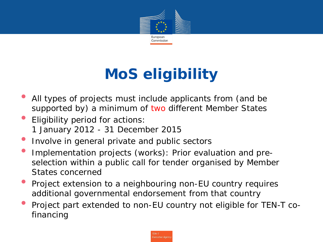

## **MoS eligibility**

- All types of projects must include applicants from (and be supported by) a minimum of two different Member States
- Eligibility period for actions: 1 January 2012 - 31 December 2015
- Involve in general private and public sectors
- Implementation projects (works): Prior evaluation and preselection within a public call for tender organised by Member States concerned
- Project extension to a neighbouring non-EU country requires additional governmental endorsement from that country
- Project part extended to non-EU country not eligible for TEN-T cofinancing

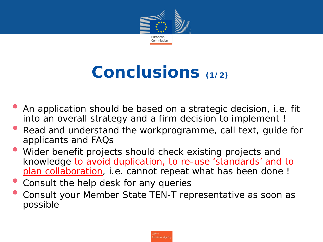

## **Conclusions (1/2)**

- An application should be based on a strategic decision, i.e. fit into an overall strategy and a firm decision to implement !
- Read and understand the workprogramme, call text, guide for applicants and FAQs
- Wider benefit projects should check existing projects and knowledge to avoid duplication, to re-use 'standards' and to plan collaboration, i.e. cannot repeat what has been done !
- Consult the help desk for any queries
- Consult your Member State TEN-T representative as soon as possible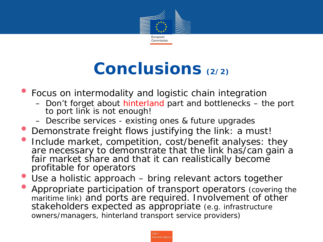

## **Conclusions (2/2)**

- Focus on intermodality and logistic chain integration
	- Don't forget about hinterland part and bottlenecks the port to port link is not enough!
	- Describe services existing ones & future upgrades
- Demonstrate freight flows justifying the link: a must!
- Include market, competition, cost/benefit analyses: they are necessary to demonstrate that the link has/can gain a fair market share and that it can realistically become profitable for operators
- Use a holistic approach bring relevant actors together
- Appropriate participation of transport operators (covering the maritime link) and ports are required. Involvement of other stakeholders expected as appropriate (e.g. infrastructure owners/managers, hinterland transport service providers)

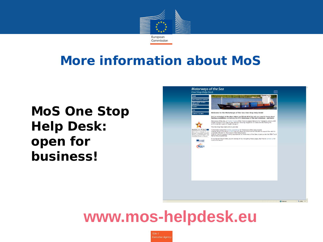

#### **More information about MoS**

#### **MoS One Stop Help Desk: open for business!**



### **www.mos-helpdesk.eu**

TEN-T **Executive Agency**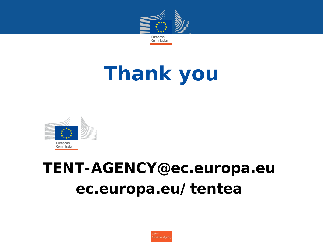

# **Thank you**



## **TENT-AGENCY@ec.europa.eu ec.europa.eu/tentea**

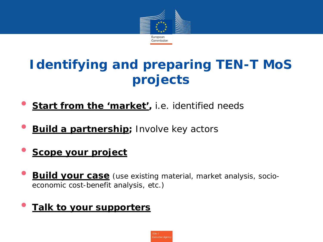

#### **Identifying and preparing TEN-T MoS projects**

- **Start from the 'market', i.e. identified needs**
- **Build a partnership**; Involve key actors
- **Scope your project**
- **Build your case** (use existing material, market analysis, socioeconomic cost-benefit analysis, etc.)
- **Talk to your supporters**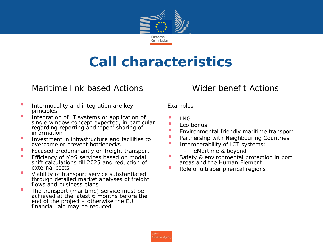

#### **Call characteristics**

#### Maritime link based Actions

#### • Intermodality and integration are key principles

- Integration of IT systems or application of single window concept expected, in particular regarding reporting and 'open' sharing of information
- Investment in infrastructure and facilities to overcome or prevent bottlenecks
- Focused predominantly on freight transport
- Efficiency of MoS services based on modal shift calculations till 2025 and reduction of external costs
- Viability of transport service substantiated through detailed market analyses of freight flows and business plans
- The transport (maritime) service must be achieved at the latest 6 months before the end of the project – otherwise the EU financial aid may be reduced

#### Wider benefit Actions

Examples:

- LNG
- Eco bonus<br>• Environme
- Environmental friendly maritime transport<br>• Partnership with Neighbouring Countries
- Partnership with Neighbouring Countries<br>• Interoperability of ICT systems:
- Interoperability of ICT systems:
	- eMartime & beyond
- Safety & environmental protection in port areas and the Human Element
- Role of ultraperipherical regions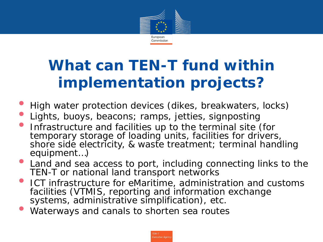

## **What can TEN-T fund within implementation projects?**

- High water protection devices (dikes, breakwaters, locks)
- Lights, buoys, beacons; ramps, jetties, signposting
- Infrastructure and facilities up to the terminal site (for temporary storage of loading units, facilities for drivers, shore side electricity, & waste treatment; terminal handling equipment…)
- Land and sea access to port, including connecting links to the TEN-T or national land transport networks
- ICT infrastructure for eMaritime, administration and customs facilities (VTMIS, reporting and information exchange systems, administrative simplification), etc.
- Waterways and canals to shorten sea routes

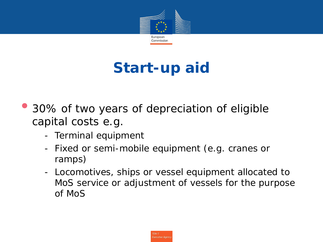

## **Start-up aid**

- 30% of two years of depreciation of eligible capital costs e.g.
	- Terminal equipment
	- Fixed or semi-mobile equipment (e.g. cranes or ramps)
	- Locomotives, ships or vessel equipment allocated to MoS service or adjustment of vessels for the purpose of MoS